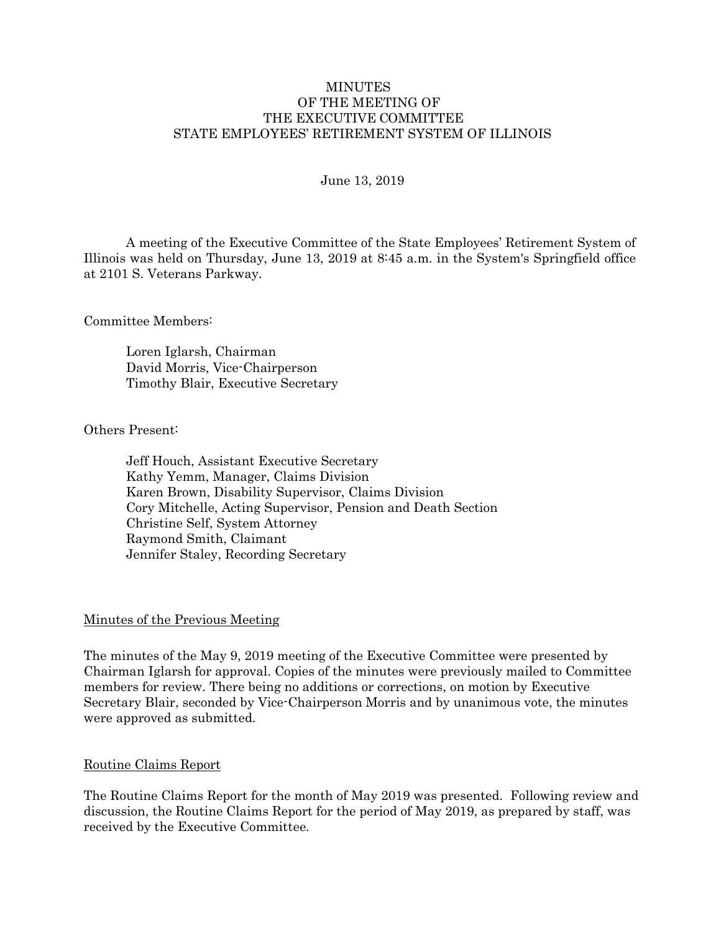#### MINUTES OF THE MEETING OF THE EXECUTIVE COMMITTEE STATE EMPLOYEES' RETIREMENT SYSTEM OF ILLINOIS

#### June 13, 2019

A meeting of the Executive Committee of the State Employees' Retirement System of Illinois was held on Thursday, June 13, 2019 at 8:45 a.m. in the System's Springfield office at 2101 S. Veterans Parkway.

Committee Members:

Loren Iglarsh, Chairman David Morris, Vice-Chairperson Timothy Blair, Executive Secretary

Others Present:

Jeff Houch, Assistant Executive Secretary Kathy Yemm, Manager, Claims Division Karen Brown, Disability Supervisor, Claims Division Cory Mitchelle, Acting Supervisor, Pension and Death Section Christine Self, System Attorney Raymond Smith, Claimant Jennifer Staley, Recording Secretary

#### Minutes of the Previous Meeting

The minutes of the May 9, 2019 meeting of the Executive Committee were presented by Chairman Iglarsh for approval. Copies of the minutes were previously mailed to Committee members for review. There being no additions or corrections, on motion by Executive Secretary Blair, seconded by Vice-Chairperson Morris and by unanimous vote, the minutes were approved as submitted.

#### Routine Claims Report

The Routine Claims Report for the month of May 2019 was presented. Following review and discussion, the Routine Claims Report for the period of May 2019, as prepared by staff, was received by the Executive Committee.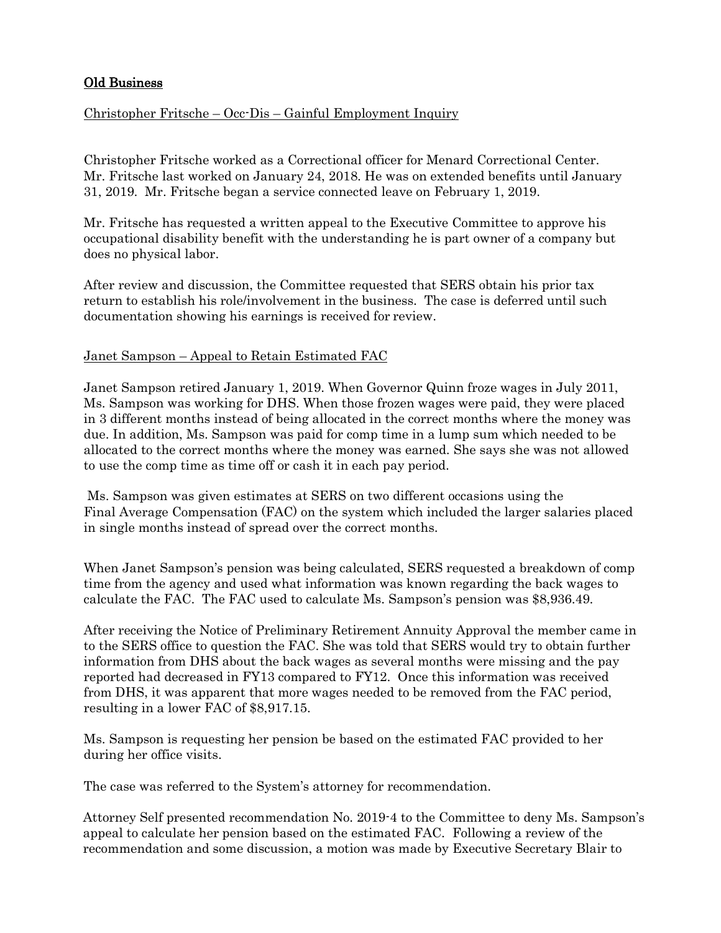# Old Business

# Christopher Fritsche – Occ-Dis – Gainful Employment Inquiry

Christopher Fritsche worked as a Correctional officer for Menard Correctional Center. Mr. Fritsche last worked on January 24, 2018. He was on extended benefits until January 31, 2019. Mr. Fritsche began a service connected leave on February 1, 2019.

Mr. Fritsche has requested a written appeal to the Executive Committee to approve his occupational disability benefit with the understanding he is part owner of a company but does no physical labor.

After review and discussion, the Committee requested that SERS obtain his prior tax return to establish his role/involvement in the business. The case is deferred until such documentation showing his earnings is received for review.

### Janet Sampson – Appeal to Retain Estimated FAC

Janet Sampson retired January 1, 2019. When Governor Quinn froze wages in July 2011, Ms. Sampson was working for DHS. When those frozen wages were paid, they were placed in 3 different months instead of being allocated in the correct months where the money was due. In addition, Ms. Sampson was paid for comp time in a lump sum which needed to be allocated to the correct months where the money was earned. She says she was not allowed to use the comp time as time off or cash it in each pay period.

Ms. Sampson was given estimates at SERS on two different occasions using the Final Average Compensation (FAC) on the system which included the larger salaries placed in single months instead of spread over the correct months.

When Janet Sampson's pension was being calculated, SERS requested a breakdown of comp time from the agency and used what information was known regarding the back wages to calculate the FAC. The FAC used to calculate Ms. Sampson's pension was \$8,936.49.

After receiving the Notice of Preliminary Retirement Annuity Approval the member came in to the SERS office to question the FAC. She was told that SERS would try to obtain further information from DHS about the back wages as several months were missing and the pay reported had decreased in FY13 compared to FY12. Once this information was received from DHS, it was apparent that more wages needed to be removed from the FAC period, resulting in a lower FAC of \$8,917.15.

Ms. Sampson is requesting her pension be based on the estimated FAC provided to her during her office visits.

The case was referred to the System's attorney for recommendation.

Attorney Self presented recommendation No. 2019-4 to the Committee to deny Ms. Sampson's appeal to calculate her pension based on the estimated FAC. Following a review of the recommendation and some discussion, a motion was made by Executive Secretary Blair to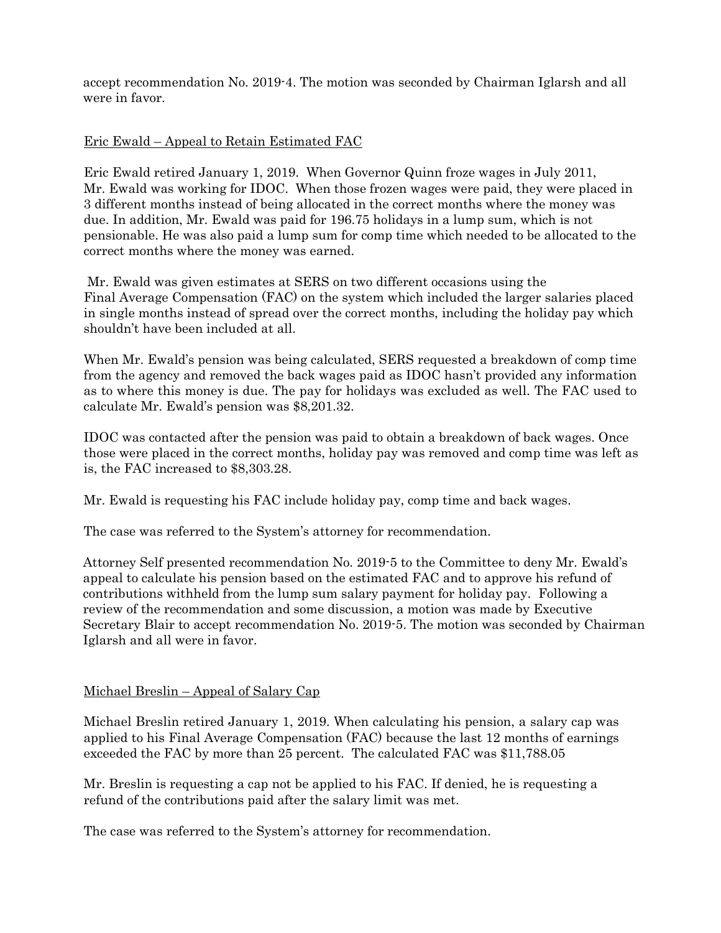accept recommendation No. 2019-4. The motion was seconded by Chairman Iglarsh and all were in favor.

## Eric Ewald – Appeal to Retain Estimated FAC

Eric Ewald retired January 1, 2019. When Governor Quinn froze wages in July 2011, Mr. Ewald was working for IDOC. When those frozen wages were paid, they were placed in 3 different months instead of being allocated in the correct months where the money was due. In addition, Mr. Ewald was paid for 196.75 holidays in a lump sum, which is not pensionable. He was also paid a lump sum for comp time which needed to be allocated to the correct months where the money was earned.

Mr. Ewald was given estimates at SERS on two different occasions using the Final Average Compensation (FAC) on the system which included the larger salaries placed in single months instead of spread over the correct months, including the holiday pay which shouldn't have been included at all.

When Mr. Ewald's pension was being calculated, SERS requested a breakdown of comp time from the agency and removed the back wages paid as IDOC hasn't provided any information as to where this money is due. The pay for holidays was excluded as well. The FAC used to calculate Mr. Ewald's pension was \$8,201.32.

IDOC was contacted after the pension was paid to obtain a breakdown of back wages. Once those were placed in the correct months, holiday pay was removed and comp time was left as is, the FAC increased to \$8,303.28.

Mr. Ewald is requesting his FAC include holiday pay, comp time and back wages.

The case was referred to the System's attorney for recommendation.

Attorney Self presented recommendation No. 2019-5 to the Committee to deny Mr. Ewald's appeal to calculate his pension based on the estimated FAC and to approve his refund of contributions withheld from the lump sum salary payment for holiday pay. Following a review of the recommendation and some discussion, a motion was made by Executive Secretary Blair to accept recommendation No. 2019-5. The motion was seconded by Chairman Iglarsh and all were in favor.

# Michael Breslin – Appeal of Salary Cap

Michael Breslin retired January 1, 2019. When calculating his pension, a salary cap was applied to his Final Average Compensation (FAC) because the last 12 months of earnings exceeded the FAC by more than 25 percent. The calculated FAC was \$11,788.05

Mr. Breslin is requesting a cap not be applied to his FAC. If denied, he is requesting a refund of the contributions paid after the salary limit was met.

The case was referred to the System's attorney for recommendation.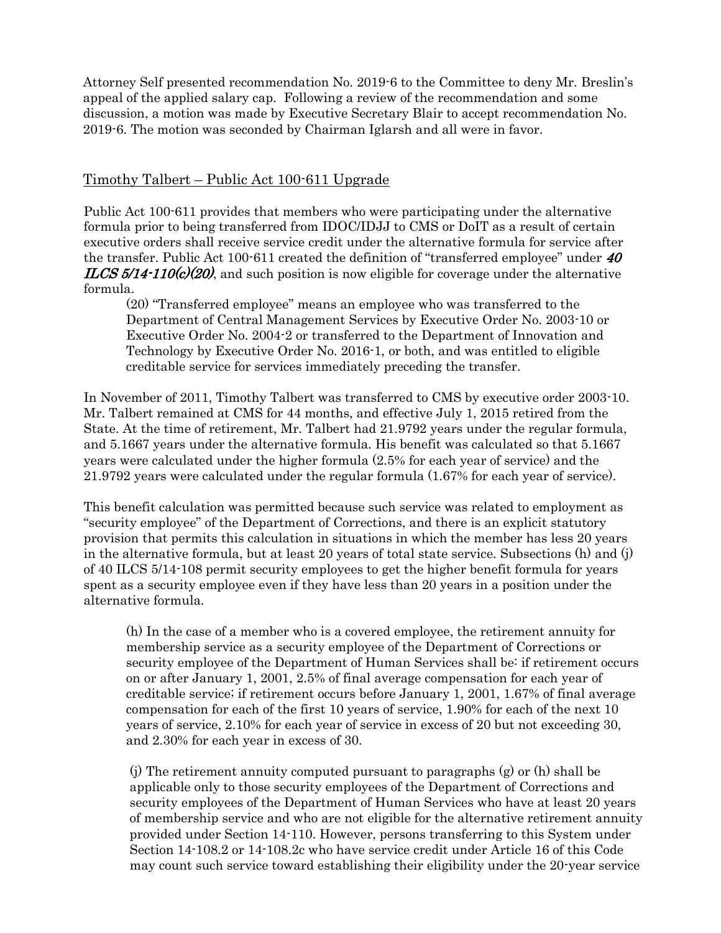Attorney Self presented recommendation No. 2019-6 to the Committee to deny Mr. Breslin's appeal of the applied salary cap. Following a review of the recommendation and some discussion, a motion was made by Executive Secretary Blair to accept recommendation No. 2019-6. The motion was seconded by Chairman Iglarsh and all were in favor.

# Timothy Talbert – Public Act 100-611 Upgrade

Public Act 100-611 provides that members who were participating under the alternative formula prior to being transferred from IDOC/IDJJ to CMS or DoIT as a result of certain executive orders shall receive service credit under the alternative formula for service after the transfer. Public Act 100-611 created the definition of "transferred employee" under  $40$  $ILCS 5/14-110(c)(20)$ , and such position is now eligible for coverage under the alternative formula.

(20) "Transferred employee" means an employee who was transferred to the Department of Central Management Services by Executive Order No. 2003-10 or Executive Order No. 2004-2 or transferred to the Department of Innovation and Technology by Executive Order No. 2016-1, or both, and was entitled to eligible creditable service for services immediately preceding the transfer.

In November of 2011, Timothy Talbert was transferred to CMS by executive order 2003-10. Mr. Talbert remained at CMS for 44 months, and effective July 1, 2015 retired from the State. At the time of retirement, Mr. Talbert had 21.9792 years under the regular formula, and 5.1667 years under the alternative formula. His benefit was calculated so that 5.1667 years were calculated under the higher formula (2.5% for each year of service) and the 21.9792 years were calculated under the regular formula (1.67% for each year of service).

This benefit calculation was permitted because such service was related to employment as "security employee" of the Department of Corrections, and there is an explicit statutory provision that permits this calculation in situations in which the member has less 20 years in the alternative formula, but at least 20 years of total state service. Subsections (h) and (j) of 40 ILCS 5/14-108 permit security employees to get the higher benefit formula for years spent as a security employee even if they have less than 20 years in a position under the alternative formula.

(h) In the case of a member who is a covered employee, the retirement annuity for membership service as a security employee of the Department of Corrections or security employee of the Department of Human Services shall be: if retirement occurs on or after January 1, 2001, 2.5% of final average compensation for each year of creditable service; if retirement occurs before January 1, 2001, 1.67% of final average compensation for each of the first 10 years of service, 1.90% for each of the next 10 years of service, 2.10% for each year of service in excess of 20 but not exceeding 30, and 2.30% for each year in excess of 30.

(j) The retirement annuity computed pursuant to paragraphs (g) or (h) shall be applicable only to those security employees of the Department of Corrections and security employees of the Department of Human Services who have at least 20 years of membership service and who are not eligible for the alternative retirement annuity provided under Section 14-110. However, persons transferring to this System under Section 14-108.2 or 14-108.2c who have service credit under Article 16 of this Code may count such service toward establishing their eligibility under the 20-year service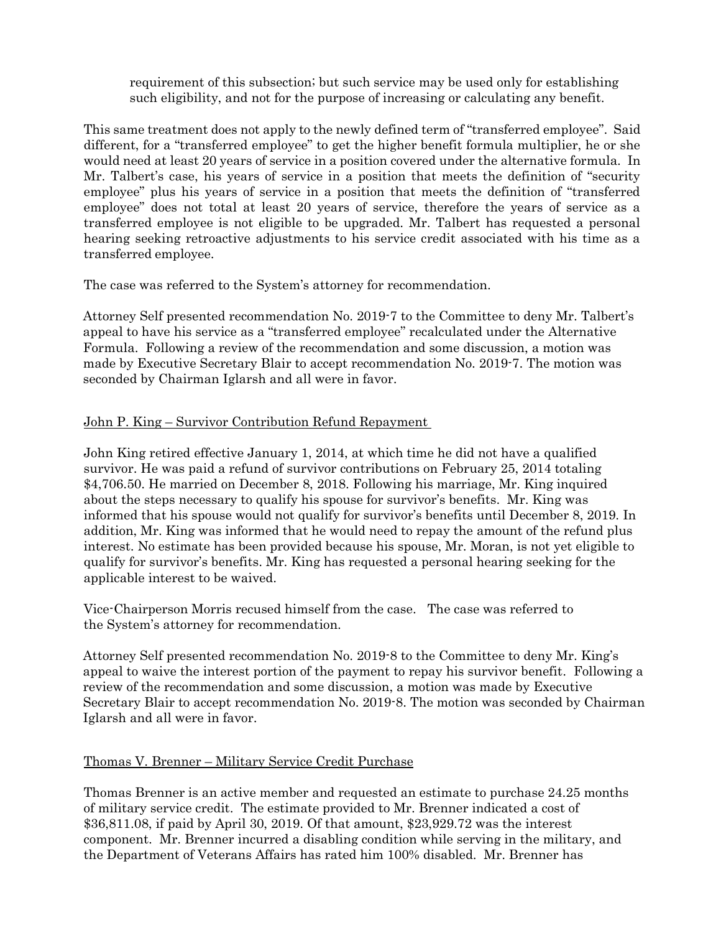requirement of this subsection; but such service may be used only for establishing such eligibility, and not for the purpose of increasing or calculating any benefit.

This same treatment does not apply to the newly defined term of "transferred employee". Said different, for a "transferred employee" to get the higher benefit formula multiplier, he or she would need at least 20 years of service in a position covered under the alternative formula. In Mr. Talbert's case, his years of service in a position that meets the definition of "security employee" plus his years of service in a position that meets the definition of "transferred employee" does not total at least 20 years of service, therefore the years of service as a transferred employee is not eligible to be upgraded. Mr. Talbert has requested a personal hearing seeking retroactive adjustments to his service credit associated with his time as a transferred employee.

The case was referred to the System's attorney for recommendation.

Attorney Self presented recommendation No. 2019-7 to the Committee to deny Mr. Talbert's appeal to have his service as a "transferred employee" recalculated under the Alternative Formula. Following a review of the recommendation and some discussion, a motion was made by Executive Secretary Blair to accept recommendation No. 2019-7. The motion was seconded by Chairman Iglarsh and all were in favor.

# John P. King – Survivor Contribution Refund Repayment

John King retired effective January 1, 2014, at which time he did not have a qualified survivor. He was paid a refund of survivor contributions on February 25, 2014 totaling \$4,706.50. He married on December 8, 2018. Following his marriage, Mr. King inquired about the steps necessary to qualify his spouse for survivor's benefits. Mr. King was informed that his spouse would not qualify for survivor's benefits until December 8, 2019. In addition, Mr. King was informed that he would need to repay the amount of the refund plus interest. No estimate has been provided because his spouse, Mr. Moran, is not yet eligible to qualify for survivor's benefits. Mr. King has requested a personal hearing seeking for the applicable interest to be waived.

Vice-Chairperson Morris recused himself from the case. The case was referred to the System's attorney for recommendation.

Attorney Self presented recommendation No. 2019-8 to the Committee to deny Mr. King's appeal to waive the interest portion of the payment to repay his survivor benefit. Following a review of the recommendation and some discussion, a motion was made by Executive Secretary Blair to accept recommendation No. 2019-8. The motion was seconded by Chairman Iglarsh and all were in favor.

# Thomas V. Brenner – Military Service Credit Purchase

Thomas Brenner is an active member and requested an estimate to purchase 24.25 months of military service credit. The estimate provided to Mr. Brenner indicated a cost of \$36,811.08, if paid by April 30, 2019. Of that amount, \$23,929.72 was the interest component. Mr. Brenner incurred a disabling condition while serving in the military, and the Department of Veterans Affairs has rated him 100% disabled. Mr. Brenner has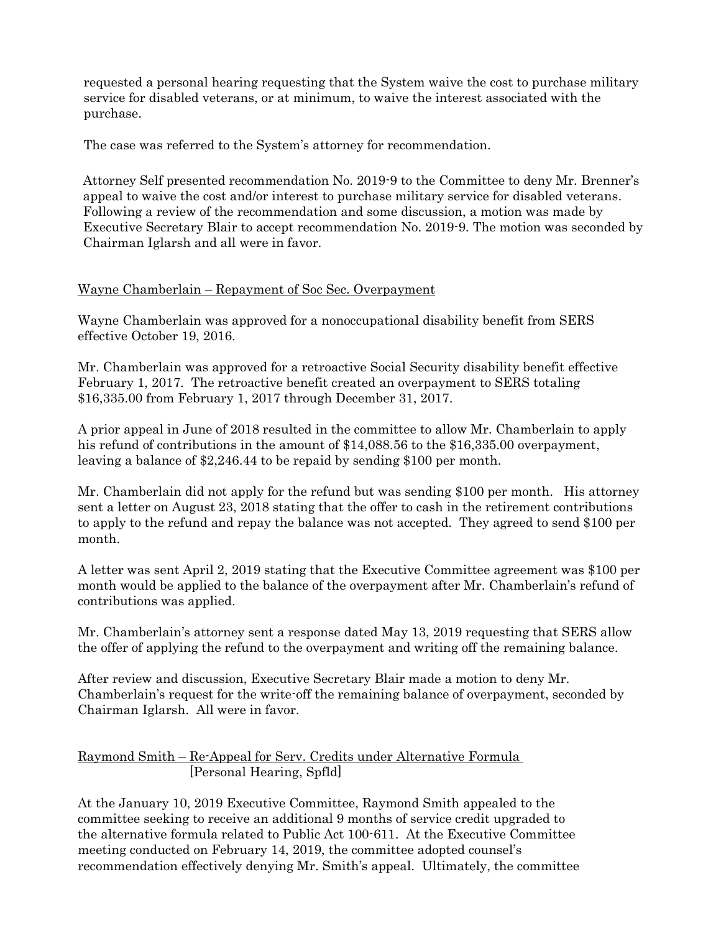requested a personal hearing requesting that the System waive the cost to purchase military service for disabled veterans, or at minimum, to waive the interest associated with the purchase.

The case was referred to the System's attorney for recommendation.

Attorney Self presented recommendation No. 2019-9 to the Committee to deny Mr. Brenner's appeal to waive the cost and/or interest to purchase military service for disabled veterans. Following a review of the recommendation and some discussion, a motion was made by Executive Secretary Blair to accept recommendation No. 2019-9. The motion was seconded by Chairman Iglarsh and all were in favor.

## Wayne Chamberlain – Repayment of Soc Sec. Overpayment

Wayne Chamberlain was approved for a nonoccupational disability benefit from SERS effective October 19, 2016.

Mr. Chamberlain was approved for a retroactive Social Security disability benefit effective February 1, 2017. The retroactive benefit created an overpayment to SERS totaling \$16,335.00 from February 1, 2017 through December 31, 2017.

A prior appeal in June of 2018 resulted in the committee to allow Mr. Chamberlain to apply his refund of contributions in the amount of \$14,088.56 to the \$16,335.00 overpayment, leaving a balance of \$2,246.44 to be repaid by sending \$100 per month.

Mr. Chamberlain did not apply for the refund but was sending \$100 per month. His attorney sent a letter on August 23, 2018 stating that the offer to cash in the retirement contributions to apply to the refund and repay the balance was not accepted. They agreed to send \$100 per month.

A letter was sent April 2, 2019 stating that the Executive Committee agreement was \$100 per month would be applied to the balance of the overpayment after Mr. Chamberlain's refund of contributions was applied.

Mr. Chamberlain's attorney sent a response dated May 13, 2019 requesting that SERS allow the offer of applying the refund to the overpayment and writing off the remaining balance.

After review and discussion, Executive Secretary Blair made a motion to deny Mr. Chamberlain's request for the write-off the remaining balance of overpayment, seconded by Chairman Iglarsh. All were in favor.

Raymond Smith – Re-Appeal for Serv. Credits under Alternative Formula [Personal Hearing, Spfld]

At the January 10, 2019 Executive Committee, Raymond Smith appealed to the committee seeking to receive an additional 9 months of service credit upgraded to the alternative formula related to Public Act 100-611. At the Executive Committee meeting conducted on February 14, 2019, the committee adopted counsel's recommendation effectively denying Mr. Smith's appeal. Ultimately, the committee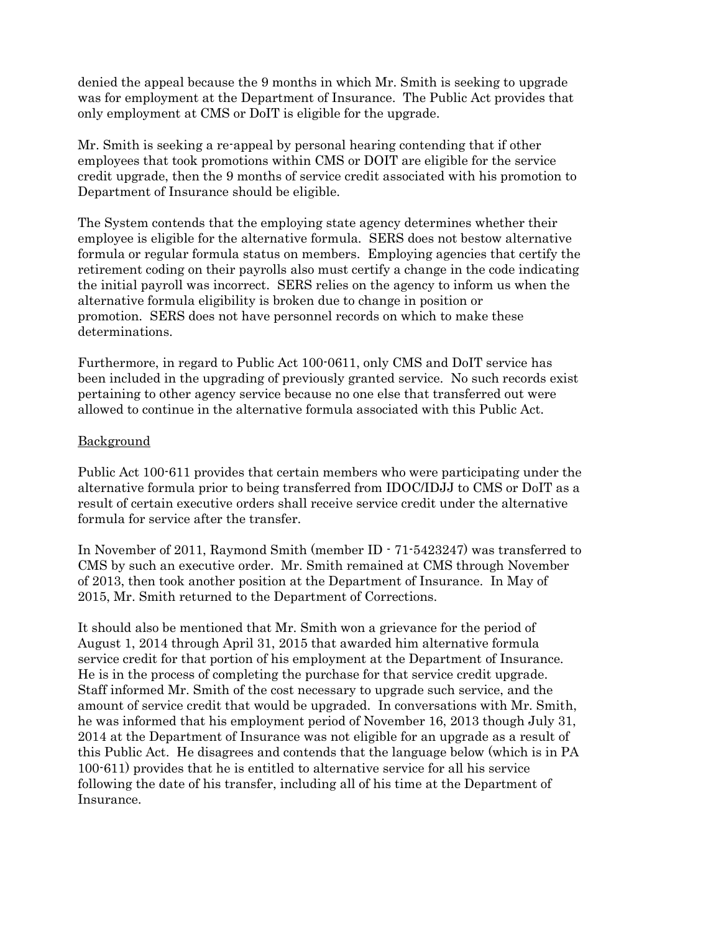denied the appeal because the 9 months in which Mr. Smith is seeking to upgrade was for employment at the Department of Insurance. The Public Act provides that only employment at CMS or DoIT is eligible for the upgrade.

Mr. Smith is seeking a re-appeal by personal hearing contending that if other employees that took promotions within CMS or DOIT are eligible for the service credit upgrade, then the 9 months of service credit associated with his promotion to Department of Insurance should be eligible.

The System contends that the employing state agency determines whether their employee is eligible for the alternative formula. SERS does not bestow alternative formula or regular formula status on members. Employing agencies that certify the retirement coding on their payrolls also must certify a change in the code indicating the initial payroll was incorrect. SERS relies on the agency to inform us when the alternative formula eligibility is broken due to change in position or promotion. SERS does not have personnel records on which to make these determinations.

Furthermore, in regard to Public Act 100-0611, only CMS and DoIT service has been included in the upgrading of previously granted service. No such records exist pertaining to other agency service because no one else that transferred out were allowed to continue in the alternative formula associated with this Public Act.

#### Background

Public Act 100-611 provides that certain members who were participating under the alternative formula prior to being transferred from IDOC/IDJJ to CMS or DoIT as a result of certain executive orders shall receive service credit under the alternative formula for service after the transfer.

In November of 2011, Raymond Smith (member ID - 71-5423247) was transferred to CMS by such an executive order. Mr. Smith remained at CMS through November of 2013, then took another position at the Department of Insurance. In May of 2015, Mr. Smith returned to the Department of Corrections.

It should also be mentioned that Mr. Smith won a grievance for the period of August 1, 2014 through April 31, 2015 that awarded him alternative formula service credit for that portion of his employment at the Department of Insurance. He is in the process of completing the purchase for that service credit upgrade. Staff informed Mr. Smith of the cost necessary to upgrade such service, and the amount of service credit that would be upgraded. In conversations with Mr. Smith, he was informed that his employment period of November 16, 2013 though July 31, 2014 at the Department of Insurance was not eligible for an upgrade as a result of this Public Act. He disagrees and contends that the language below (which is in PA 100-611) provides that he is entitled to alternative service for all his service following the date of his transfer, including all of his time at the Department of Insurance.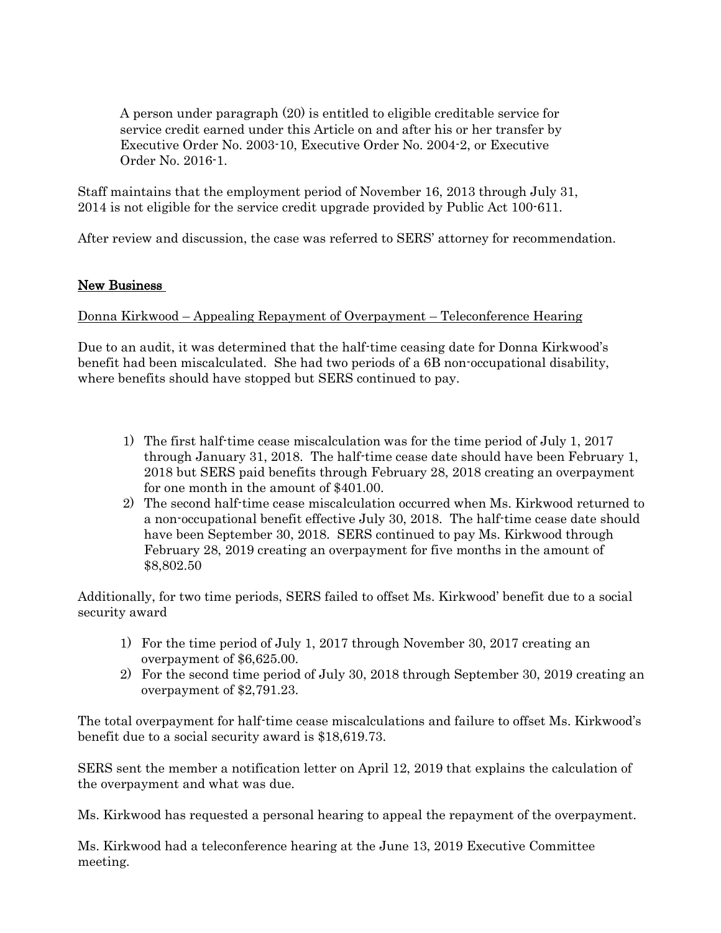A person under paragraph (20) is entitled to eligible creditable service for service credit earned under this Article on and after his or her transfer by Executive Order No. 2003-10, Executive Order No. 2004-2, or Executive Order No. 2016-1.

Staff maintains that the employment period of November 16, 2013 through July 31, 2014 is not eligible for the service credit upgrade provided by Public Act 100-611.

After review and discussion, the case was referred to SERS' attorney for recommendation.

### New Business

### Donna Kirkwood – Appealing Repayment of Overpayment – Teleconference Hearing

Due to an audit, it was determined that the half-time ceasing date for Donna Kirkwood's benefit had been miscalculated. She had two periods of a 6B non-occupational disability, where benefits should have stopped but SERS continued to pay.

- 1) The first half-time cease miscalculation was for the time period of July 1, 2017 through January 31, 2018. The half-time cease date should have been February 1, 2018 but SERS paid benefits through February 28, 2018 creating an overpayment for one month in the amount of \$401.00.
- 2) The second half-time cease miscalculation occurred when Ms. Kirkwood returned to a non-occupational benefit effective July 30, 2018. The half-time cease date should have been September 30, 2018. SERS continued to pay Ms. Kirkwood through February 28, 2019 creating an overpayment for five months in the amount of \$8,802.50

Additionally, for two time periods, SERS failed to offset Ms. Kirkwood' benefit due to a social security award

- 1) For the time period of July 1, 2017 through November 30, 2017 creating an overpayment of \$6,625.00.
- 2) For the second time period of July 30, 2018 through September 30, 2019 creating an overpayment of \$2,791.23.

The total overpayment for half-time cease miscalculations and failure to offset Ms. Kirkwood's benefit due to a social security award is \$18,619.73.

SERS sent the member a notification letter on April 12, 2019 that explains the calculation of the overpayment and what was due.

Ms. Kirkwood has requested a personal hearing to appeal the repayment of the overpayment.

Ms. Kirkwood had a teleconference hearing at the June 13, 2019 Executive Committee meeting.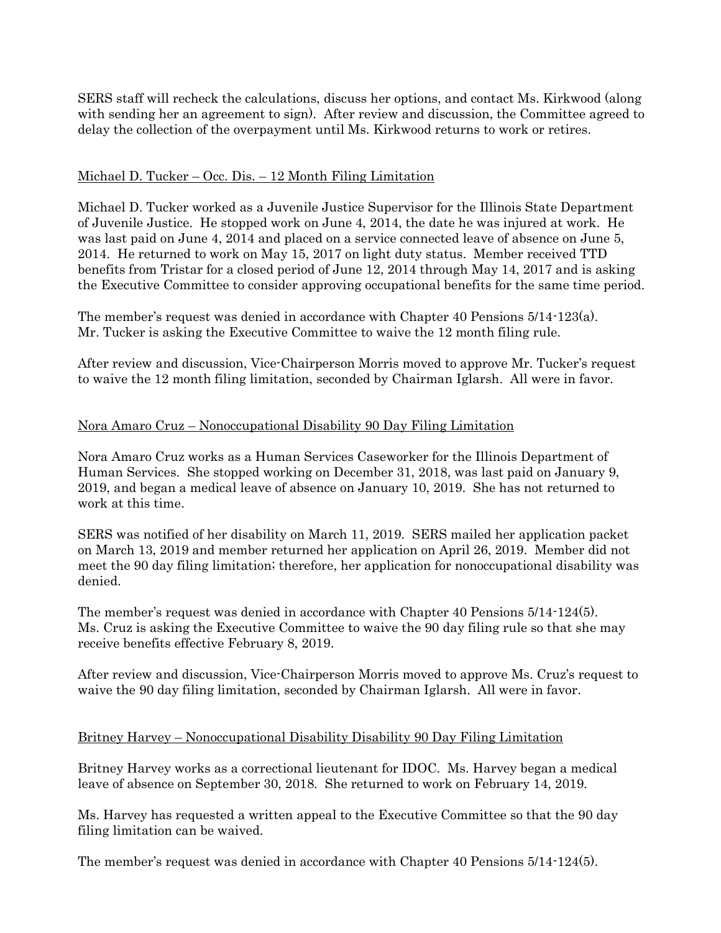SERS staff will recheck the calculations, discuss her options, and contact Ms. Kirkwood (along with sending her an agreement to sign). After review and discussion, the Committee agreed to delay the collection of the overpayment until Ms. Kirkwood returns to work or retires.

## Michael D. Tucker – Occ. Dis. – 12 Month Filing Limitation

Michael D. Tucker worked as a Juvenile Justice Supervisor for the Illinois State Department of Juvenile Justice. He stopped work on June 4, 2014, the date he was injured at work. He was last paid on June 4, 2014 and placed on a service connected leave of absence on June 5, 2014. He returned to work on May 15, 2017 on light duty status. Member received TTD benefits from Tristar for a closed period of June 12, 2014 through May 14, 2017 and is asking the Executive Committee to consider approving occupational benefits for the same time period.

The member's request was denied in accordance with Chapter 40 Pensions 5/14-123(a). Mr. Tucker is asking the Executive Committee to waive the 12 month filing rule.

After review and discussion, Vice-Chairperson Morris moved to approve Mr. Tucker's request to waive the 12 month filing limitation, seconded by Chairman Iglarsh. All were in favor.

## Nora Amaro Cruz – Nonoccupational Disability 90 Day Filing Limitation

Nora Amaro Cruz works as a Human Services Caseworker for the Illinois Department of Human Services. She stopped working on December 31, 2018, was last paid on January 9, 2019, and began a medical leave of absence on January 10, 2019. She has not returned to work at this time.

SERS was notified of her disability on March 11, 2019. SERS mailed her application packet on March 13, 2019 and member returned her application on April 26, 2019. Member did not meet the 90 day filing limitation; therefore, her application for nonoccupational disability was denied.

The member's request was denied in accordance with Chapter 40 Pensions 5/14-124(5). Ms. Cruz is asking the Executive Committee to waive the 90 day filing rule so that she may receive benefits effective February 8, 2019.

After review and discussion, Vice-Chairperson Morris moved to approve Ms. Cruz's request to waive the 90 day filing limitation, seconded by Chairman Iglarsh. All were in favor.

### Britney Harvey – Nonoccupational Disability Disability 90 Day Filing Limitation

Britney Harvey works as a correctional lieutenant for IDOC. Ms. Harvey began a medical leave of absence on September 30, 2018. She returned to work on February 14, 2019.

Ms. Harvey has requested a written appeal to the Executive Committee so that the 90 day filing limitation can be waived.

The member's request was denied in accordance with Chapter 40 Pensions 5/14-124(5).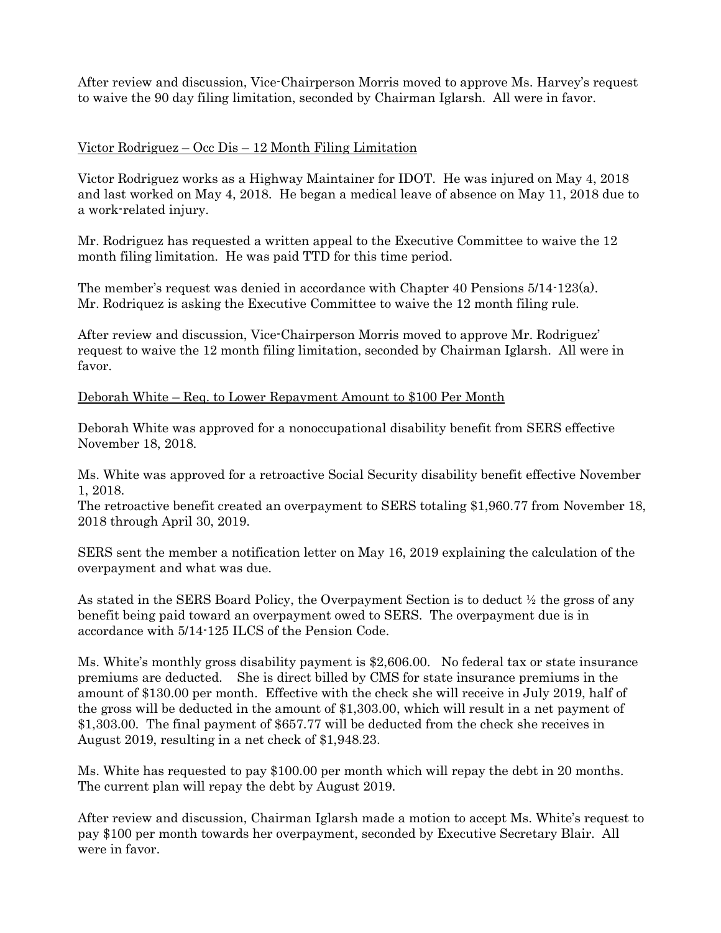After review and discussion, Vice-Chairperson Morris moved to approve Ms. Harvey's request to waive the 90 day filing limitation, seconded by Chairman Iglarsh. All were in favor.

## Victor Rodriguez – Occ Dis – 12 Month Filing Limitation

Victor Rodriguez works as a Highway Maintainer for IDOT. He was injured on May 4, 2018 and last worked on May 4, 2018. He began a medical leave of absence on May 11, 2018 due to a work-related injury.

Mr. Rodriguez has requested a written appeal to the Executive Committee to waive the 12 month filing limitation. He was paid TTD for this time period.

The member's request was denied in accordance with Chapter 40 Pensions 5/14-123(a). Mr. Rodriquez is asking the Executive Committee to waive the 12 month filing rule.

After review and discussion, Vice-Chairperson Morris moved to approve Mr. Rodriguez' request to waive the 12 month filing limitation, seconded by Chairman Iglarsh. All were in favor.

Deborah White – Req. to Lower Repayment Amount to \$100 Per Month

Deborah White was approved for a nonoccupational disability benefit from SERS effective November 18, 2018.

Ms. White was approved for a retroactive Social Security disability benefit effective November 1, 2018.

The retroactive benefit created an overpayment to SERS totaling \$1,960.77 from November 18, 2018 through April 30, 2019.

SERS sent the member a notification letter on May 16, 2019 explaining the calculation of the overpayment and what was due.

As stated in the SERS Board Policy, the Overpayment Section is to deduct ½ the gross of any benefit being paid toward an overpayment owed to SERS. The overpayment due is in accordance with 5/14-125 ILCS of the Pension Code.

Ms. White's monthly gross disability payment is \$2,606.00. No federal tax or state insurance premiums are deducted. She is direct billed by CMS for state insurance premiums in the amount of \$130.00 per month. Effective with the check she will receive in July 2019, half of the gross will be deducted in the amount of \$1,303.00, which will result in a net payment of \$1,303.00. The final payment of \$657.77 will be deducted from the check she receives in August 2019, resulting in a net check of \$1,948.23.

Ms. White has requested to pay \$100.00 per month which will repay the debt in 20 months. The current plan will repay the debt by August 2019.

After review and discussion, Chairman Iglarsh made a motion to accept Ms. White's request to pay \$100 per month towards her overpayment, seconded by Executive Secretary Blair. All were in favor.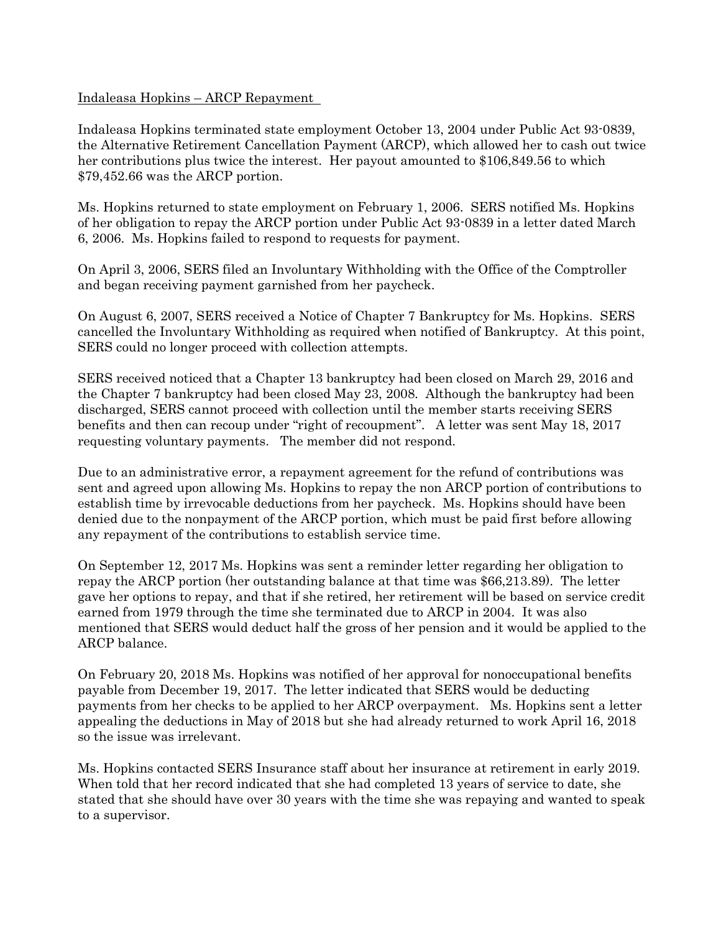#### Indaleasa Hopkins – ARCP Repayment

Indaleasa Hopkins terminated state employment October 13, 2004 under Public Act 93-0839, the Alternative Retirement Cancellation Payment (ARCP), which allowed her to cash out twice her contributions plus twice the interest. Her payout amounted to \$106,849.56 to which \$79,452.66 was the ARCP portion.

Ms. Hopkins returned to state employment on February 1, 2006. SERS notified Ms. Hopkins of her obligation to repay the ARCP portion under Public Act 93-0839 in a letter dated March 6, 2006. Ms. Hopkins failed to respond to requests for payment.

On April 3, 2006, SERS filed an Involuntary Withholding with the Office of the Comptroller and began receiving payment garnished from her paycheck.

On August 6, 2007, SERS received a Notice of Chapter 7 Bankruptcy for Ms. Hopkins. SERS cancelled the Involuntary Withholding as required when notified of Bankruptcy. At this point, SERS could no longer proceed with collection attempts.

SERS received noticed that a Chapter 13 bankruptcy had been closed on March 29, 2016 and the Chapter 7 bankruptcy had been closed May 23, 2008. Although the bankruptcy had been discharged, SERS cannot proceed with collection until the member starts receiving SERS benefits and then can recoup under "right of recoupment". A letter was sent May 18, 2017 requesting voluntary payments. The member did not respond.

Due to an administrative error, a repayment agreement for the refund of contributions was sent and agreed upon allowing Ms. Hopkins to repay the non ARCP portion of contributions to establish time by irrevocable deductions from her paycheck. Ms. Hopkins should have been denied due to the nonpayment of the ARCP portion, which must be paid first before allowing any repayment of the contributions to establish service time.

On September 12, 2017 Ms. Hopkins was sent a reminder letter regarding her obligation to repay the ARCP portion (her outstanding balance at that time was \$66,213.89). The letter gave her options to repay, and that if she retired, her retirement will be based on service credit earned from 1979 through the time she terminated due to ARCP in 2004. It was also mentioned that SERS would deduct half the gross of her pension and it would be applied to the ARCP balance.

On February 20, 2018 Ms. Hopkins was notified of her approval for nonoccupational benefits payable from December 19, 2017. The letter indicated that SERS would be deducting payments from her checks to be applied to her ARCP overpayment. Ms. Hopkins sent a letter appealing the deductions in May of 2018 but she had already returned to work April 16, 2018 so the issue was irrelevant.

Ms. Hopkins contacted SERS Insurance staff about her insurance at retirement in early 2019. When told that her record indicated that she had completed 13 years of service to date, she stated that she should have over 30 years with the time she was repaying and wanted to speak to a supervisor.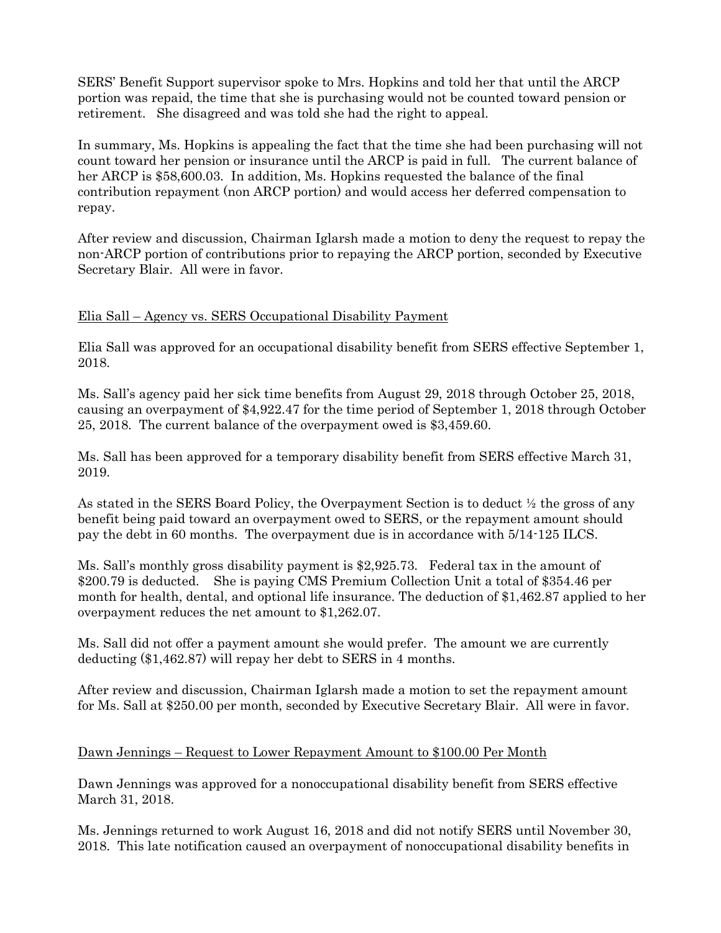SERS' Benefit Support supervisor spoke to Mrs. Hopkins and told her that until the ARCP portion was repaid, the time that she is purchasing would not be counted toward pension or retirement. She disagreed and was told she had the right to appeal.

In summary, Ms. Hopkins is appealing the fact that the time she had been purchasing will not count toward her pension or insurance until the ARCP is paid in full. The current balance of her ARCP is \$58,600.03. In addition, Ms. Hopkins requested the balance of the final contribution repayment (non ARCP portion) and would access her deferred compensation to repay.

After review and discussion, Chairman Iglarsh made a motion to deny the request to repay the non-ARCP portion of contributions prior to repaying the ARCP portion, seconded by Executive Secretary Blair. All were in favor.

## Elia Sall – Agency vs. SERS Occupational Disability Payment

Elia Sall was approved for an occupational disability benefit from SERS effective September 1, 2018.

Ms. Sall's agency paid her sick time benefits from August 29, 2018 through October 25, 2018, causing an overpayment of \$4,922.47 for the time period of September 1, 2018 through October 25, 2018. The current balance of the overpayment owed is \$3,459.60.

Ms. Sall has been approved for a temporary disability benefit from SERS effective March 31, 2019.

As stated in the SERS Board Policy, the Overpayment Section is to deduct ½ the gross of any benefit being paid toward an overpayment owed to SERS, or the repayment amount should pay the debt in 60 months. The overpayment due is in accordance with 5/14-125 ILCS.

Ms. Sall's monthly gross disability payment is \$2,925.73. Federal tax in the amount of \$200.79 is deducted. She is paying CMS Premium Collection Unit a total of \$354.46 per month for health, dental, and optional life insurance. The deduction of \$1,462.87 applied to her overpayment reduces the net amount to \$1,262.07.

Ms. Sall did not offer a payment amount she would prefer. The amount we are currently deducting (\$1,462.87) will repay her debt to SERS in 4 months.

After review and discussion, Chairman Iglarsh made a motion to set the repayment amount for Ms. Sall at \$250.00 per month, seconded by Executive Secretary Blair. All were in favor.

# Dawn Jennings – Request to Lower Repayment Amount to \$100.00 Per Month

Dawn Jennings was approved for a nonoccupational disability benefit from SERS effective March 31, 2018.

Ms. Jennings returned to work August 16, 2018 and did not notify SERS until November 30, 2018. This late notification caused an overpayment of nonoccupational disability benefits in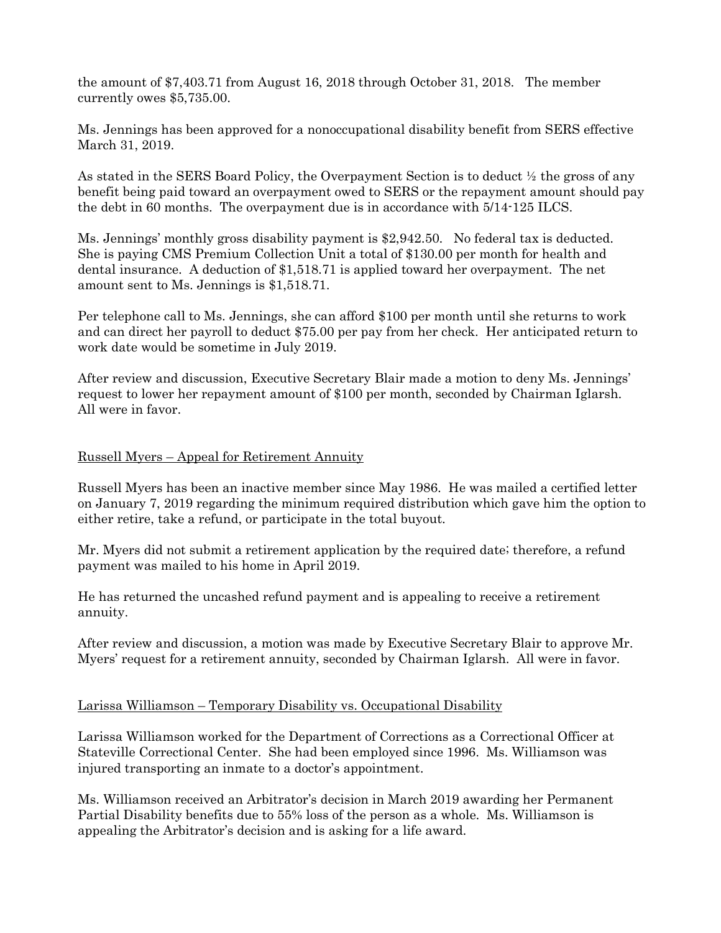the amount of \$7,403.71 from August 16, 2018 through October 31, 2018. The member currently owes \$5,735.00.

Ms. Jennings has been approved for a nonoccupational disability benefit from SERS effective March 31, 2019.

As stated in the SERS Board Policy, the Overpayment Section is to deduct ½ the gross of any benefit being paid toward an overpayment owed to SERS or the repayment amount should pay the debt in 60 months. The overpayment due is in accordance with 5/14-125 ILCS.

Ms. Jennings' monthly gross disability payment is \$2,942.50. No federal tax is deducted. She is paying CMS Premium Collection Unit a total of \$130.00 per month for health and dental insurance. A deduction of \$1,518.71 is applied toward her overpayment. The net amount sent to Ms. Jennings is \$1,518.71.

Per telephone call to Ms. Jennings, she can afford \$100 per month until she returns to work and can direct her payroll to deduct \$75.00 per pay from her check. Her anticipated return to work date would be sometime in July 2019.

After review and discussion, Executive Secretary Blair made a motion to deny Ms. Jennings' request to lower her repayment amount of \$100 per month, seconded by Chairman Iglarsh. All were in favor.

### Russell Myers – Appeal for Retirement Annuity

Russell Myers has been an inactive member since May 1986. He was mailed a certified letter on January 7, 2019 regarding the minimum required distribution which gave him the option to either retire, take a refund, or participate in the total buyout.

Mr. Myers did not submit a retirement application by the required date; therefore, a refund payment was mailed to his home in April 2019.

He has returned the uncashed refund payment and is appealing to receive a retirement annuity.

After review and discussion, a motion was made by Executive Secretary Blair to approve Mr. Myers' request for a retirement annuity, seconded by Chairman Iglarsh. All were in favor.

### Larissa Williamson – Temporary Disability vs. Occupational Disability

Larissa Williamson worked for the Department of Corrections as a Correctional Officer at Stateville Correctional Center. She had been employed since 1996. Ms. Williamson was injured transporting an inmate to a doctor's appointment.

Ms. Williamson received an Arbitrator's decision in March 2019 awarding her Permanent Partial Disability benefits due to 55% loss of the person as a whole. Ms. Williamson is appealing the Arbitrator's decision and is asking for a life award.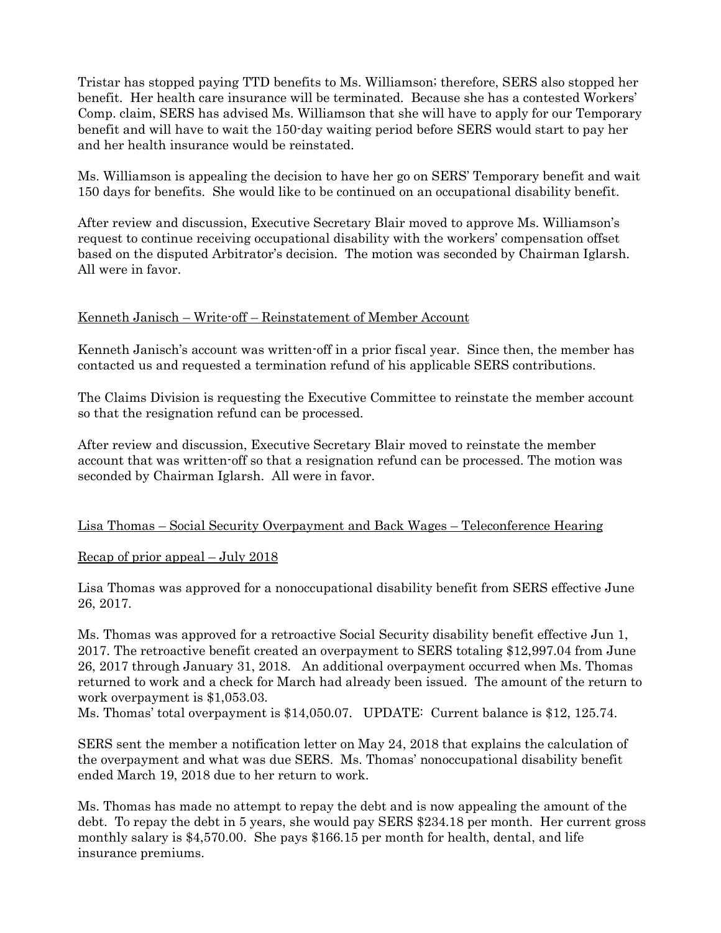Tristar has stopped paying TTD benefits to Ms. Williamson; therefore, SERS also stopped her benefit. Her health care insurance will be terminated. Because she has a contested Workers' Comp. claim, SERS has advised Ms. Williamson that she will have to apply for our Temporary benefit and will have to wait the 150-day waiting period before SERS would start to pay her and her health insurance would be reinstated.

Ms. Williamson is appealing the decision to have her go on SERS' Temporary benefit and wait 150 days for benefits. She would like to be continued on an occupational disability benefit.

After review and discussion, Executive Secretary Blair moved to approve Ms. Williamson's request to continue receiving occupational disability with the workers' compensation offset based on the disputed Arbitrator's decision. The motion was seconded by Chairman Iglarsh. All were in favor.

### Kenneth Janisch – Write-off – Reinstatement of Member Account

Kenneth Janisch's account was written-off in a prior fiscal year. Since then, the member has contacted us and requested a termination refund of his applicable SERS contributions.

The Claims Division is requesting the Executive Committee to reinstate the member account so that the resignation refund can be processed.

After review and discussion, Executive Secretary Blair moved to reinstate the member account that was written-off so that a resignation refund can be processed. The motion was seconded by Chairman Iglarsh. All were in favor.

### Lisa Thomas – Social Security Overpayment and Back Wages – Teleconference Hearing

### Recap of prior appeal – July 2018

Lisa Thomas was approved for a nonoccupational disability benefit from SERS effective June 26, 2017.

Ms. Thomas was approved for a retroactive Social Security disability benefit effective Jun 1, 2017. The retroactive benefit created an overpayment to SERS totaling \$12,997.04 from June 26, 2017 through January 31, 2018. An additional overpayment occurred when Ms. Thomas returned to work and a check for March had already been issued. The amount of the return to work overpayment is \$1,053.03.

Ms. Thomas' total overpayment is \$14,050.07. UPDATE: Current balance is \$12, 125.74.

SERS sent the member a notification letter on May 24, 2018 that explains the calculation of the overpayment and what was due SERS. Ms. Thomas' nonoccupational disability benefit ended March 19, 2018 due to her return to work.

Ms. Thomas has made no attempt to repay the debt and is now appealing the amount of the debt. To repay the debt in 5 years, she would pay SERS \$234.18 per month. Her current gross monthly salary is \$4,570.00. She pays \$166.15 per month for health, dental, and life insurance premiums.